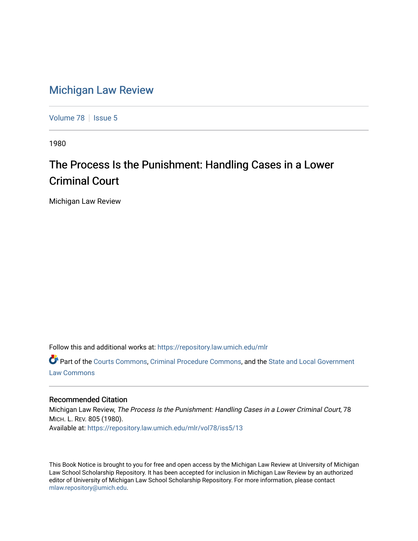## [Michigan Law Review](https://repository.law.umich.edu/mlr)

[Volume 78](https://repository.law.umich.edu/mlr/vol78) | [Issue 5](https://repository.law.umich.edu/mlr/vol78/iss5)

1980

## The Process Is the Punishment: Handling Cases in a Lower Criminal Court

Michigan Law Review

Follow this and additional works at: [https://repository.law.umich.edu/mlr](https://repository.law.umich.edu/mlr?utm_source=repository.law.umich.edu%2Fmlr%2Fvol78%2Fiss5%2F13&utm_medium=PDF&utm_campaign=PDFCoverPages) 

Part of the [Courts Commons,](http://network.bepress.com/hgg/discipline/839?utm_source=repository.law.umich.edu%2Fmlr%2Fvol78%2Fiss5%2F13&utm_medium=PDF&utm_campaign=PDFCoverPages) [Criminal Procedure Commons,](http://network.bepress.com/hgg/discipline/1073?utm_source=repository.law.umich.edu%2Fmlr%2Fvol78%2Fiss5%2F13&utm_medium=PDF&utm_campaign=PDFCoverPages) and the [State and Local Government](http://network.bepress.com/hgg/discipline/879?utm_source=repository.law.umich.edu%2Fmlr%2Fvol78%2Fiss5%2F13&utm_medium=PDF&utm_campaign=PDFCoverPages) [Law Commons](http://network.bepress.com/hgg/discipline/879?utm_source=repository.law.umich.edu%2Fmlr%2Fvol78%2Fiss5%2F13&utm_medium=PDF&utm_campaign=PDFCoverPages) 

## Recommended Citation

Michigan Law Review, The Process Is the Punishment: Handling Cases in a Lower Criminal Court, 78 MICH. L. REV. 805 (1980). Available at: [https://repository.law.umich.edu/mlr/vol78/iss5/13](https://repository.law.umich.edu/mlr/vol78/iss5/13?utm_source=repository.law.umich.edu%2Fmlr%2Fvol78%2Fiss5%2F13&utm_medium=PDF&utm_campaign=PDFCoverPages) 

This Book Notice is brought to you for free and open access by the Michigan Law Review at University of Michigan Law School Scholarship Repository. It has been accepted for inclusion in Michigan Law Review by an authorized editor of University of Michigan Law School Scholarship Repository. For more information, please contact [mlaw.repository@umich.edu.](mailto:mlaw.repository@umich.edu)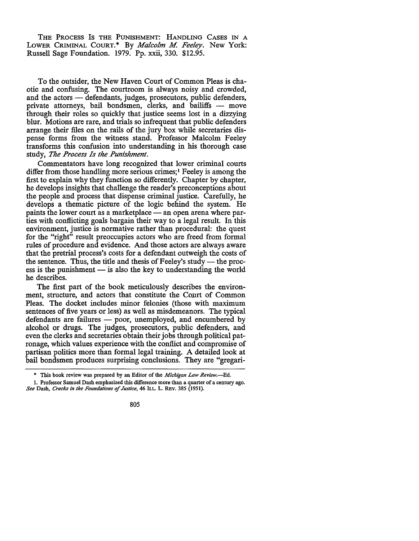THE PROCESS Is THE PUNISHMENT: HANDLING CASES IN A LOWER CRIMINAL COURT.\* By *Malcolm M. Feeley.* New York: Russell Sage Foundation. 1979. Pp. xxii, 330. \$12.95.

To the outsider, the New Haven Court of Common Pleas is chaotic and confusing. The courtroom is always noisy and crowded, and the actors - defendants, judges, prosecutors, public defenders, private attorneys, bail bondsmen, clerks, and bailiffs - move through their roles so quickly that justice seems lost in a dizzying blur. Motions are rare, and trials so infrequent that public defenders arrange their files on the rails of the jury box while secretaries dispense forms from the witness stand. Professor Malcolm Feeley transforms this confusion into understanding in his thorough case study, *The Process Is the Punishment.* 

Commentators have long recognized that lower criminal courts differ from those handling more serious crimes; 1 Feeley is among the first to explain why they function so differently. Chapter by chapter, he develops insights that challenge the reader's preconceptions about the people and process that dispense criminal justice. Carefully, he develops a thematic picture of the logic behind the system. He paints the lower court as a marketplace - an open arena where parties with conflicting goals bargain their way to a legal result. In this environment, justice is normative rather than procedural: the quest for the "right" result preoccupies actors who are freed from formal rules of procedure and evidence. And those actors are always aware that the pretrial process's costs for a defendant outweigh the costs of the sentence. Thus, the title and thesis of Feeley's study  $-$  the process is the punishment  $-$  is also the key to understanding the world he describes.

The first part of the book meticulously describes the environment, structure, and actors that constitute the Court of Common Pleas. The docket includes minor felonies (those with maximum sentences of five years or less) as well as misdemeanors. The typical defendants are failures - poor, unemployed, and encumbered by alcohol or drugs. The judges, prosecutors, public defenders, and even the clerks and secretaries obtain their jobs through political patronage, which values experience with the conflict and compromise of partisan politics more than formal legal training. A detailed look at bail bondsmen produces surprising conclusions. They are "gregari-

<sup>•</sup> This book review was prepared by an Editor of the *Michigan Law Review.-Ed.* 

<sup>1.</sup> Professor Samuel Dash emphasized this difference more than a quarter of a century ago. *See* Dash, *Cracks in the Foundations of Justice,* 46 ILL. L. REv. 385 (1951).

<sup>805</sup>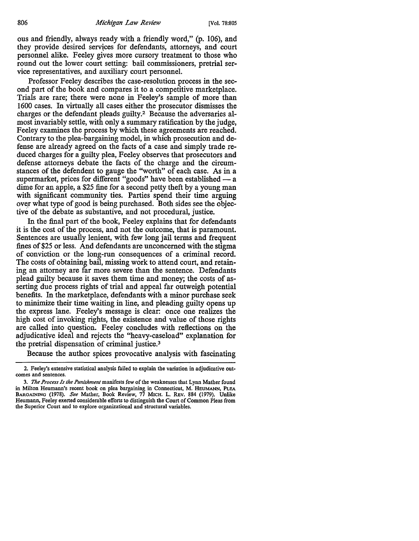ous and friendly, always ready with a friendly word," (p. 106), and they provide desired services for defendants, attorneys, and court personnel alike. Feeley gives more cursory treatment to those who round out the lower court setting: bail commissioners, pretrial service representatives, and auxiliary court personnel.

Professor Feeley describes the case-resolution process in the second part of the book and compares it to a competitive marketplace. Trials are rare; there were none in Feeley's sample of more than 1600 cases. In virtually all cases either the prosecutor dismisses the charges or the defendant pleads guilty.2 Because the adversaries almost invariably settle, with only a summary ratification by the judge, Feeley examines the process by which these agreements are reached. Contrary to the plea-bargaining model, in which prosecution and defense are already agreed on the facts of a case and simply trade reduced charges for a guilty plea, Feeley observes that prosecutors and defense attorneys debate the facts of the charge and the circumstances of the defendent to gauge the "worth" of each case. As in a supermarket, prices for different "goods" have been established — a dime for an apple, a \$25 fine for a second petty theft by a young man with significant community ties. Parties spend their time arguing over what type of good is being purchased. Both sides see the objective of the debate as substantive, and not procedural, justice.

In the final part of the book, Feeley explains that for defendants it is the cost of the process, and not the outcome, that is paramount. Sentences are usually lenient, with few long jail terms and frequent fines of \$25 or less. And defendants are unconcerned with the stigma of conviction or the long-run consequences of a criminal record. The costs of obtaining bail, missing work to attend court, and retaining an attorney are far more severe than the sentence. Defendants plead guilty because it saves them time and money; the costs of asserting due process rights of trial and appeal far outweigh potential benefits. In the marketplace, defendants with a minor purchase seek to minimize their time waiting in line, and pleading guilty opens up the express lane. Feeley's message is clear: once one realizes the high cost of invoking rights, the existence and value of those rights are called into question. Feeley concludes with reflections on the adjudicative ideal and rejects the "heavy-caseload" explanation for the pretrial dispensation of criminal justice. <sup>3</sup>

Because the author spices provocative analysis with fascinating

<sup>2.</sup> Feeley's extensive statistical analysis failed to explain the variation in adjudicative outcomes and sentences.

<sup>3.</sup> *The Process Is the Punishment* manifests few of the weaknesses that Lynn Mather found in Milton Heumann's recent book on plea bargaining in Connecticut, M. HEUMANN, PLEA BARGAINING (1978). *See* Mather, Book Review, 77 MICH. L. REV. 884 (1979), Unlike Heumann, Feeley exerted considerable efforts to distinguish the Court of Common Pleas from the Superior Court and to explore organizational and structural variables.